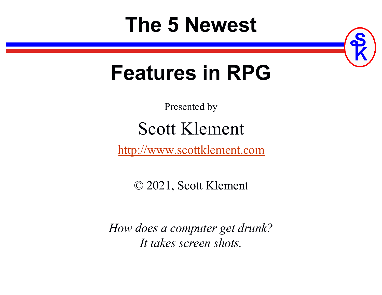# **The 5 Newest**



# **Features in RPG**

Presented by

## Scott Klement

[http://www.scottklement.com](http://www.scottklement.com/)

© 2021, Scott Klement

*How does a computer get drunk? It takes screen shots.*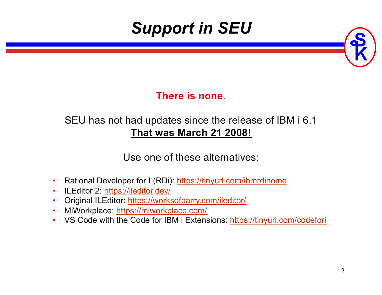## *Support in SEU*



#### **There is none.**

#### SEU has not had updates since the release of IBM i 6.1 **That was March 21 2008!**

Use one of these alternatives:

- Rational Developer for I (RDi[\): https://tinyurl.com/ibmrdihom](https://tinyurl.com/ibmrdihome)e
- ILEditor [2: https://ileditor.dev](https://ileditor.dev/)/
- Original ILEdito[r: https://worksofbarry.com/iledito](https://worksofbarry.com/ileditor/)r/
- MiWorkplac[e: https://miworkplace.com](https://miworkplace.com/)/
- VS Code with the Code for IBM i Extension[s: https://tinyurl.com/codefo](https://tinyurl.com/codefori)ri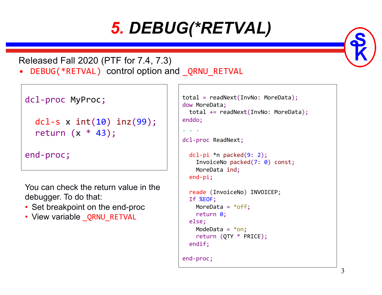## *5. DEBUG(\*RETVAL)*

#### Released Fall 2020 (PTF for 7.4, 7.3)

DEBUG(\*RETVAL) control option and \_QRNU\_RETVAL

```
dcl-proc MyProc;
```

```
dcl-s x int(10) inz(99);
return (x * 43);
```

```
end-proc;
```
You can check the return value in the debugger. To do that:

- Set breakpoint on the end-proc
- View variable ORNU RETVAL

```
total = readNext(InvNo: MoreData);
dow MoreData;
 total += readNext(InvNo: MoreData);
enddo;
```

```
. . .
```

```
dcl-proc ReadNext;
```

```
dcl-pi *n packed(9: 2);
  InvoiceNo packed(7: 0) const;
 MoreData ind;
end-pi;
```

```
reade (InvoiceNo) INVOICEP;
If %EOF;
 MoreData = *off;
 return 0;
else;
  ModeData = *on;return (QTY * PRICE);
```

```
endif;
```

```
end-proc;
```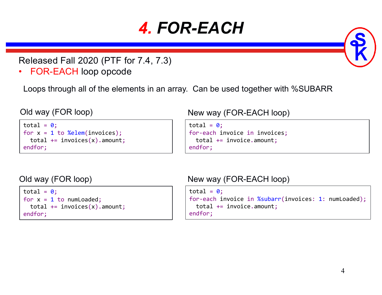## *4. FOR-EACH*

Released Fall 2020 (PTF for 7.4, 7.3)

• FOR-EACH loop opcode

Loops through all of the elements in an array. Can be used together with %SUBARR

```
total = 0:
for x = 1 to %elem(invoices);
 total += invoices(x). amount;
endfor;
```
#### Old way (FOR loop) New way (FOR-EACH loop)

total =  $0$ ; for-each invoice in invoices; total += invoice.amount; endfor;

```
total = 0;
for x = 1 to numLoaded;
  total += invoices(x). amount;
endfor;
```
Old way (FOR loop) New way (FOR-EACH loop)

```
total = 0;
for-each invoice in %subarr(invoices: 1: numLoaded);
  total += invoice.amount;
endfor;
```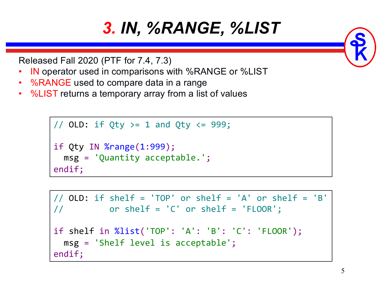## *3. IN, %RANGE, %LIST*

Released Fall 2020 (PTF for 7.4, 7.3)

- IN operator used in comparisons with %RANGE or %LIST
- %RANGE used to compare data in a range
- %LIST returns a temporary array from a list of values

```
// OLD: if Qty >= 1 and Qty \langle = 999;
if Qty IN %range(1:999);
  msg = 'Quantity acceptable.';
endif;
```

```
// OLD: if shelf = 'TOP' or shelf = 'A' or shelf = 'B'
// or shelf = 'C' or shelf = 'FLOOR';
if shelf in %list('TOP': 'A': 'B': 'C': 'FLOOR');
 msg = 'Shelf level is acceptable';
endif;
```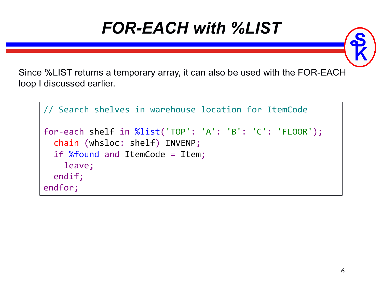#### *FOR-EACH with %LIST*

Since %LIST returns a temporary array, it can also be used with the FOR-EACH loop I discussed earlier.

```
// Search shelves in warehouse location for ItemCode
for-each shelf in %list('TOP': 'A': 'B': 'C': 'FLOOR');
  chain (whsloc: shelf) INVENP;
  if %found and ItemCode = Item;
    leave;
  endif;
endfor;
```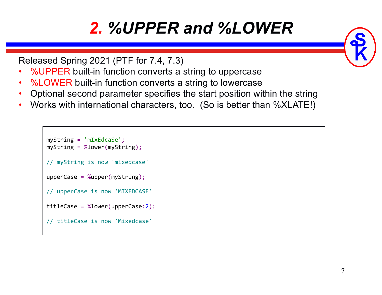## *2. %UPPER and %LOWER*

```
Released Spring 2021 (PTF for 7.4, 7.3)
```
- %UPPER built-in function converts a string to uppercase
- %LOWER built-in function converts a string to lowercase
- Optional second parameter specifies the start position within the string
- Works with international characters, too. (So is better than %XLATE!)

```
myString = 'mIxEdcaSe';
myString = %lower(myString);
// myString is now 'mixedcase'
upperCase = %upper(myString);
// upperCase is now 'MIXEDCASE'
titleCase = %lower(upperCase:2);
// titleCase is now 'Mixedcase'
```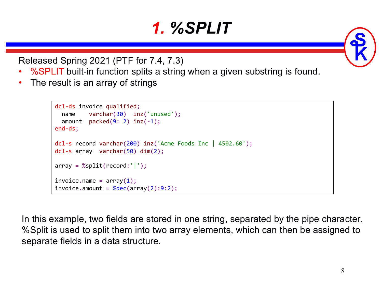#### *1. %SPLIT*

Released Spring 2021 (PTF for 7.4, 7.3)

- %SPLIT built-in function splits a string when a given substring is found.
- The result is an array of strings

```
dcl-ds invoice qualified;
  name varchar(30) inz('unused');
  amount packed(9: 2) inz(-1);
end-ds;
dcl-s record varchar(200) inz('Acme Foods Inc | 4502.60');
dcl-s array varchar(50) dim(2);
array = %split(record:');
invoice.name = array(1);invoice.annotation = %dec(array(2):9:2);
```
In this example, two fields are stored in one string, separated by the pipe character. %Split is used to split them into two array elements, which can then be assigned to separate fields in a data structure.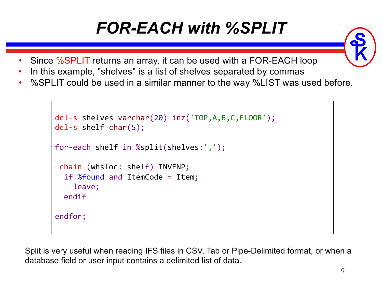## *FOR-EACH with %SPLIT*

- Since %SPLIT returns an array, it can be used with a FOR-EACH loop
- In this example, "shelves" is a list of shelves separated by commas
- %SPLIT could be used in a similar manner to the way %LIST was used before.

```
dcl-s shelves varchar(20) inz('TOP,A,B,C,FLOOR');
dcl-s shelf char(5);
for-each shelf in %split(shelves:',');
 chain (whsloc: shelf) INVENP;
  if %found and ItemCode = Item;
    leave;
  endif
endfor;
```
Split is very useful when reading IFS files in CSV, Tab or Pipe-Delimited format, or when a database field or user input contains a delimited list of data.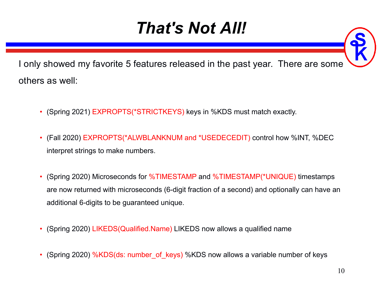## *That's Not All!*



I only showed my favorite 5 features released in the past year. There are some others as well:

- (Spring 2021) EXPROPTS(\*STRICTKEYS) keys in %KDS must match exactly.
- (Fall 2020) EXPROPTS(\*ALWBLANKNUM and \*USEDECEDIT) control how %INT, %DEC interpret strings to make numbers.
- (Spring 2020) Microseconds for %TIMESTAMP and %TIMESTAMP(\*UNIQUE) timestamps are now returned with microseconds (6-digit fraction of a second) and optionally can have an additional 6-digits to be guaranteed unique.
- (Spring 2020) LIKEDS(Qualified.Name) LIKEDS now allows a qualified name
- (Spring 2020) %KDS(ds: number of keys) %KDS now allows a variable number of keys